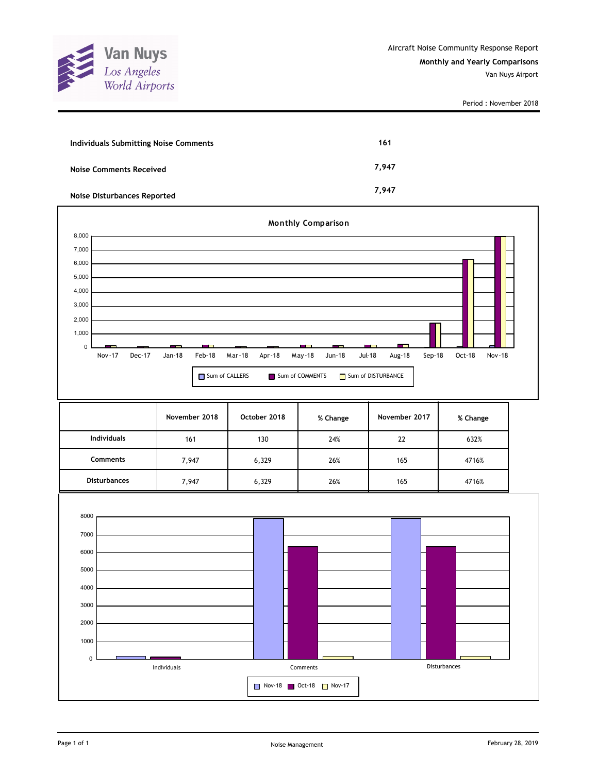

| Individuals Submitting Noise Comments | 161   |
|---------------------------------------|-------|
| <b>Noise Comments Received</b>        | 7.947 |
| <b>Noise Disturbances Reported</b>    | 7.947 |

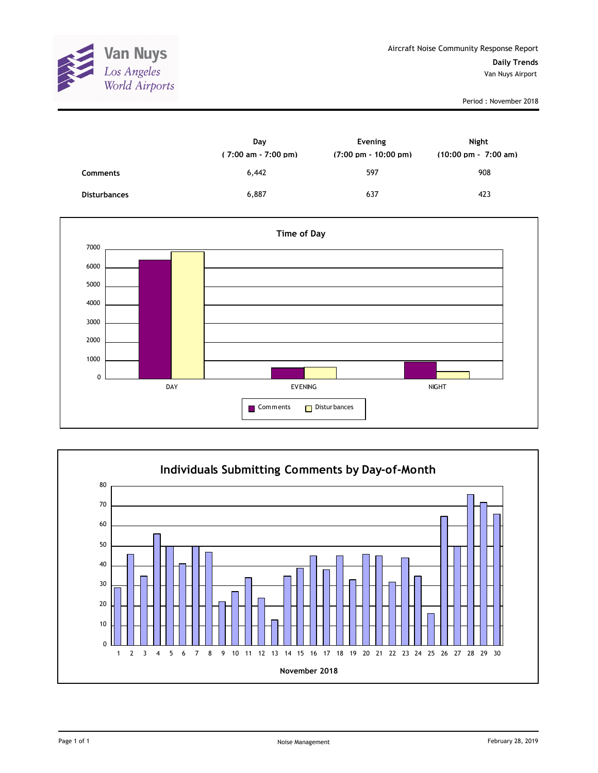

|                     | Day<br>$(7:00 \text{ am} - 7:00 \text{ pm})$ | Evening<br>$(7:00 \text{ pm} - 10:00 \text{ pm})$ | Night<br>$(10:00 \text{ pm} - 7:00 \text{ am})$ |
|---------------------|----------------------------------------------|---------------------------------------------------|-------------------------------------------------|
| Comments            | 6,442                                        | 597                                               | 908                                             |
| <b>Disturbances</b> | 6,887                                        | 637                                               | 423                                             |



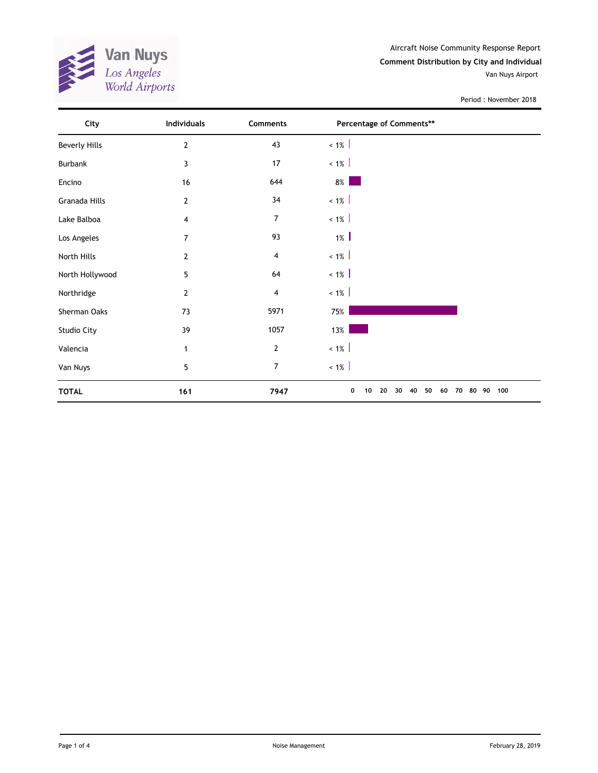

Aircraft Noise Community Response Report **Comment Distribution by City and Individual**

Van Nuys Airport

| City                 | Individuals     | <b>Comments</b> | Percentage of Comments**                                    |
|----------------------|-----------------|-----------------|-------------------------------------------------------------|
| <b>Beverly Hills</b> | $\mathbf{2}$    | 43              | $< 1\%$                                                     |
| Burbank              | 3               | 17              | $~1\%$                                                      |
| Encino               | 16              | 644             | $8\%$                                                       |
| Granada Hills        | $\overline{2}$  | 34              | $< 1\%$                                                     |
| Lake Balboa          | $\overline{4}$  | 7               | $~1\%$                                                      |
| Los Angeles          | $\overline{7}$  | 93              | $1\%$                                                       |
| North Hills          | $\mathbf{2}$    | 4               | $< 1\%$                                                     |
| North Hollywood      | 5               | 64              | $< 1\%$                                                     |
| Northridge           | $\overline{2}$  | 4               | $~1\%$                                                      |
| Sherman Oaks         | 73              | 5971            | 75%                                                         |
| Studio City          | 39              | 1057            | 13%                                                         |
| Valencia             | 1               | $\overline{2}$  | $~1\%$                                                      |
| Van Nuys             | $5\phantom{.0}$ | 7               | $< 1\%$                                                     |
| <b>TOTAL</b>         | 161             | 7947            | 20<br>30<br>40<br>50<br>60<br>70<br>80 90<br>100<br>0<br>10 |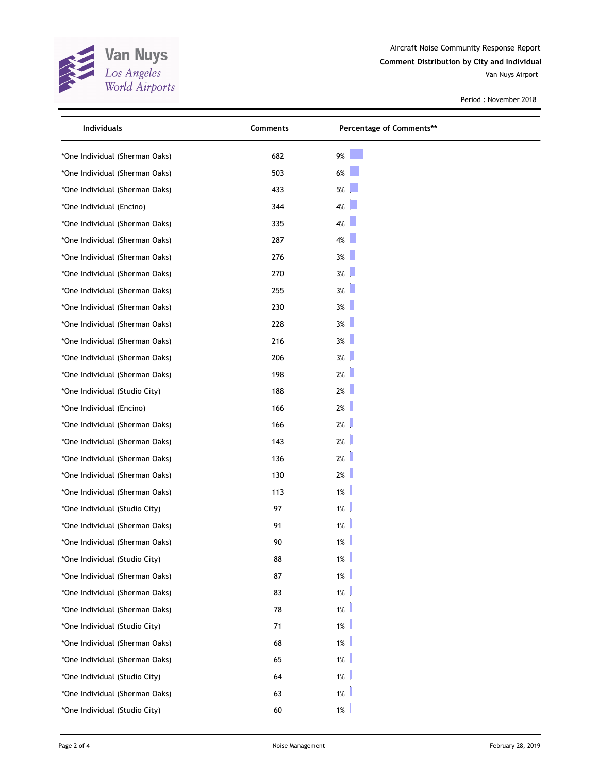

Aircraft Noise Community Response Report **Comment Distribution by City and Individual**

Van Nuys Airport

| Individuals                    | Comments | Percentage of Comments** |  |
|--------------------------------|----------|--------------------------|--|
| *One Individual (Sherman Oaks) | 682      | 9%                       |  |
| *One Individual (Sherman Oaks) | 503      | $6\%$                    |  |
| *One Individual (Sherman Oaks) | 433      | $5%$                     |  |
| *One Individual (Encino)       | 344      | 4%                       |  |
| *One Individual (Sherman Oaks) | 335      | 4%                       |  |
| *One Individual (Sherman Oaks) | 287      | 4%                       |  |
| *One Individual (Sherman Oaks) | 276      | 3%                       |  |
| *One Individual (Sherman Oaks) | 270      | $3\%$                    |  |
| *One Individual (Sherman Oaks) | 255      | 3%                       |  |
| *One Individual (Sherman Oaks) | 230      | $3\%$                    |  |
| *One Individual (Sherman Oaks) | 228      | 3%                       |  |
| *One Individual (Sherman Oaks) | 216      | $3\%$                    |  |
| *One Individual (Sherman Oaks) | 206      | $3\%$                    |  |
| *One Individual (Sherman Oaks) | 198      | 2%                       |  |
| *One Individual (Studio City)  | 188      | 2%                       |  |
| *One Individual (Encino)       | 166      | 2%                       |  |
| *One Individual (Sherman Oaks) | 166      | 2%                       |  |
| *One Individual (Sherman Oaks) | 143      | 2%                       |  |
| *One Individual (Sherman Oaks) | 136      | 2%                       |  |
| *One Individual (Sherman Oaks) | 130      | 2%                       |  |
| *One Individual (Sherman Oaks) | 113      | $1\%$                    |  |
| *One Individual (Studio City)  | 97       | $1\%$                    |  |
| *One Individual (Sherman Oaks) | 91       | 1%                       |  |
| *One Individual (Sherman Oaks) | 90       | $1\%$                    |  |
| *One Individual (Studio City)  | 88       | 1%                       |  |
| *One Individual (Sherman Oaks) | 87       | $1\%$                    |  |
| *One Individual (Sherman Oaks) | 83       | $1\%$                    |  |
| *One Individual (Sherman Oaks) | 78       | 1%                       |  |
| *One Individual (Studio City)  | 71       | 1%                       |  |
| *One Individual (Sherman Oaks) | 68       | 1%                       |  |
| *One Individual (Sherman Oaks) | 65       | 1%                       |  |
| *One Individual (Studio City)  | 64       | 1%                       |  |
| *One Individual (Sherman Oaks) | 63       | 1%                       |  |
| *One Individual (Studio City)  | 60       | 1%                       |  |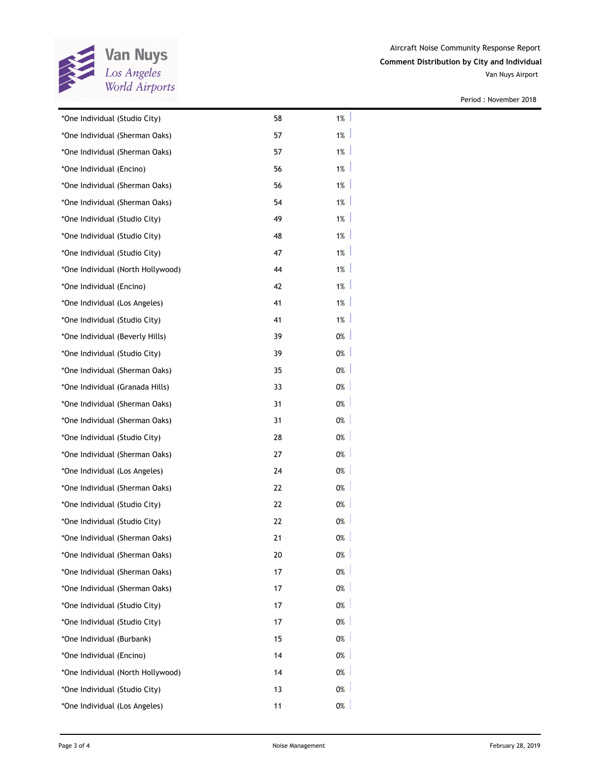

Van Nuys Airport

| *One Individual (Studio City)     | 58 | $1\%$ |
|-----------------------------------|----|-------|
| *One Individual (Sherman Oaks)    | 57 | 1%    |
| *One Individual (Sherman Oaks)    | 57 | $1\%$ |
| *One Individual (Encino)          | 56 | 1%    |
| *One Individual (Sherman Oaks)    | 56 | $1\%$ |
| *One Individual (Sherman Oaks)    | 54 | $1\%$ |
| *One Individual (Studio City)     | 49 | $1\%$ |
| *One Individual (Studio City)     | 48 | $1\%$ |
| *One Individual (Studio City)     | 47 | 1%    |
| *One Individual (North Hollywood) | 44 | 1%    |
| *One Individual (Encino)          | 42 | $1\%$ |
| *One Individual (Los Angeles)     | 41 | $1\%$ |
| *One Individual (Studio City)     | 41 | 1%    |
| *One Individual (Beverly Hills)   | 39 | 0%    |
| *One Individual (Studio City)     | 39 | 0%    |
| *One Individual (Sherman Oaks)    | 35 | 0%    |
| *One Individual (Granada Hills)   | 33 | 0%    |
| *One Individual (Sherman Oaks)    | 31 | 0%    |
| *One Individual (Sherman Oaks)    | 31 | 0%    |
| *One Individual (Studio City)     | 28 | 0%    |
| *One Individual (Sherman Oaks)    | 27 | 0%    |
| *One Individual (Los Angeles)     | 24 | 0%    |
| *One Individual (Sherman Oaks)    | 22 | 0%    |
| *One Individual (Studio City)     | 22 | 0%    |
| *One Individual (Studio City)     | 22 | 0%    |
| *One Individual (Sherman Oaks)    | 21 | 0%    |
| *One Individual (Sherman Oaks)    | 20 | 0%    |
| *One Individual (Sherman Oaks)    | 17 | 0%    |
| *One Individual (Sherman Oaks)    | 17 | 0%    |
| *One Individual (Studio City)     | 17 | 0%    |
| *One Individual (Studio City)     | 17 | 0%    |
| *One Individual (Burbank)         | 15 | 0%    |
| *One Individual (Encino)          | 14 | 0%    |
| *One Individual (North Hollywood) | 14 | 0%    |
| *One Individual (Studio City)     | 13 | 0%    |
| *One Individual (Los Angeles)     | 11 | $0\%$ |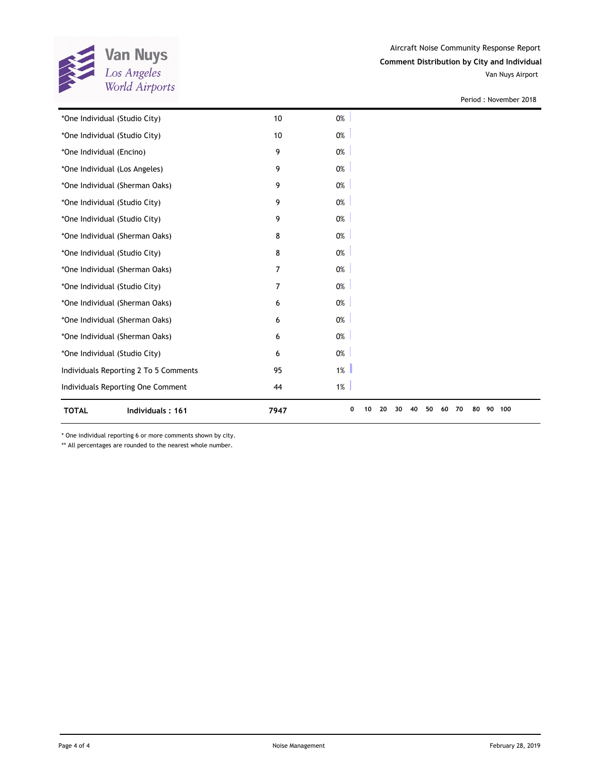

Period : November 2018

| *One Individual (Studio City)         | 10             | 0%                                                          |
|---------------------------------------|----------------|-------------------------------------------------------------|
| *One Individual (Studio City)         | 10             | $0\%$                                                       |
| *One Individual (Encino)              | 9              | 0%                                                          |
| *One Individual (Los Angeles)         | 9              | $0\%$                                                       |
| *One Individual (Sherman Oaks)        | 9              | $0\%$                                                       |
| *One Individual (Studio City)         | 9              | 0%                                                          |
| *One Individual (Studio City)         | 9              | $0\%$                                                       |
| *One Individual (Sherman Oaks)        | 8              | 0%                                                          |
| *One Individual (Studio City)         | 8              | $0\%$                                                       |
| *One Individual (Sherman Oaks)        | $\overline{7}$ | $0\%$                                                       |
| *One Individual (Studio City)         | $\overline{7}$ | 0%                                                          |
| *One Individual (Sherman Oaks)        | 6              | $0\%$                                                       |
| *One Individual (Sherman Oaks)        | 6              | $0\%$                                                       |
| *One Individual (Sherman Oaks)        | 6              | 0%                                                          |
| *One Individual (Studio City)         | 6              | $0\%$                                                       |
| Individuals Reporting 2 To 5 Comments | 95             | 1%                                                          |
| Individuals Reporting One Comment     | 44             | 1%                                                          |
| <b>TOTAL</b><br>Individuals: 161      | 7947           | 90 100<br>0<br>50<br>70<br>80<br>20<br>30<br>40<br>60<br>10 |

\* One individual reporting 6 or more comments shown by city.

\*\* All percentages are rounded to the nearest whole number.